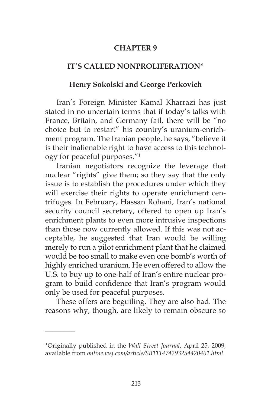## **CHAPTER 9**

## **IT'S CALLED NONPROLIFERATION\***

#### **Henry Sokolski and George Perkovich**

Iran's Foreign Minister Kamal Kharrazi has just stated in no uncertain terms that if today's talks with France, Britain, and Germany fail, there will be "no choice but to restart" his country's uranium-enrichment program. The Iranian people, he says, "believe it is their inalienable right to have access to this technology for peaceful purposes."1

Iranian negotiators recognize the leverage that nuclear "rights" give them; so they say that the only issue is to establish the procedures under which they will exercise their rights to operate enrichment centrifuges. In February, Hassan Rohani, Iran's national security council secretary, offered to open up Iran's enrichment plants to even more intrusive inspections than those now currently allowed. If this was not acceptable, he suggested that Iran would be willing merely to run a pilot enrichment plant that he claimed would be too small to make even one bomb's worth of highly enriched uranium. He even offered to allow the U.S. to buy up to one-half of Iran's entire nuclear program to build confidence that Iran's program would only be used for peaceful purposes.

These offers are beguiling. They are also bad. The reasons why, though, are likely to remain obscure so

 $\overline{\phantom{a}}$ 

<sup>\*</sup>Originally published in the *Wall Street Journal*, April 25, 2009, available from *online.wsj.com/article/SB111474293254420461.html*.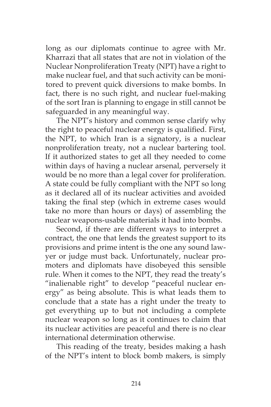long as our diplomats continue to agree with Mr. Kharrazi that all states that are not in violation of the Nuclear Nonproliferation Treaty (NPT) have a right to make nuclear fuel, and that such activity can be monitored to prevent quick diversions to make bombs. In fact, there is no such right, and nuclear fuel-making of the sort Iran is planning to engage in still cannot be safeguarded in any meaningful way.

The NPT's history and common sense clarify why the right to peaceful nuclear energy is qualified. First, the NPT, to which Iran is a signatory, is a nuclear nonproliferation treaty, not a nuclear bartering tool. If it authorized states to get all they needed to come within days of having a nuclear arsenal, perversely it would be no more than a legal cover for proliferation. A state could be fully compliant with the NPT so long as it declared all of its nuclear activities and avoided taking the final step (which in extreme cases would take no more than hours or days) of assembling the nuclear weapons-usable materials it had into bombs.

Second, if there are different ways to interpret a contract, the one that lends the greatest support to its provisions and prime intent is the one any sound lawyer or judge must back. Unfortunately, nuclear promoters and diplomats have disobeyed this sensible rule. When it comes to the NPT, they read the treaty's "inalienable right" to develop "peaceful nuclear energy" as being absolute. This is what leads them to conclude that a state has a right under the treaty to get everything up to but not including a complete nuclear weapon so long as it continues to claim that its nuclear activities are peaceful and there is no clear international determination otherwise.

This reading of the treaty, besides making a hash of the NPT's intent to block bomb makers, is simply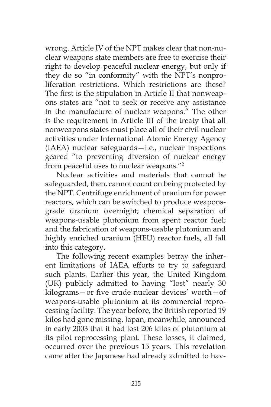wrong. Article IV of the NPT makes clear that non-nuclear weapons state members are free to exercise their right to develop peaceful nuclear energy, but only if they do so "in conformity" with the NPT's nonproliferation restrictions. Which restrictions are these? The first is the stipulation in Article II that nonweapons states are "not to seek or receive any assistance in the manufacture of nuclear weapons." The other is the requirement in Article III of the treaty that all nonweapons states must place all of their civil nuclear activities under International Atomic Energy Agency (IAEA) nuclear safeguards—i.e., nuclear inspections geared "to preventing diversion of nuclear energy from peaceful uses to nuclear weapons."2

Nuclear activities and materials that cannot be safeguarded, then, cannot count on being protected by the NPT. Centrifuge enrichment of uranium for power reactors, which can be switched to produce weaponsgrade uranium overnight; chemical separation of weapons-usable plutonium from spent reactor fuel; and the fabrication of weapons-usable plutonium and highly enriched uranium (HEU) reactor fuels, all fall into this category.

The following recent examples betray the inherent limitations of IAEA efforts to try to safeguard such plants. Earlier this year, the United Kingdom (UK) publicly admitted to having "lost" nearly 30 kilograms—or five crude nuclear devices' worth—of weapons-usable plutonium at its commercial reprocessing facility. The year before, the British reported 19 kilos had gone missing. Japan, meanwhile, announced in early 2003 that it had lost 206 kilos of plutonium at its pilot reprocessing plant. These losses, it claimed, occurred over the previous 15 years. This revelation came after the Japanese had already admitted to hav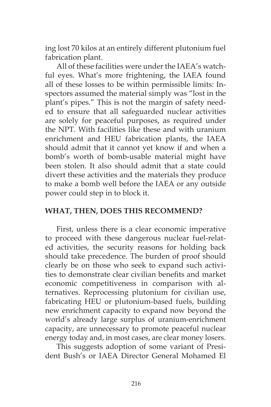ing lost 70 kilos at an entirely different plutonium fuel fabrication plant.

All of these facilities were under the IAEA's watchful eyes. What's more frightening, the IAEA found all of these losses to be within permissible limits: Inspectors assumed the material simply was "lost in the plant's pipes." This is not the margin of safety needed to ensure that all safeguarded nuclear activities are solely for peaceful purposes, as required under the NPT. With facilities like these and with uranium enrichment and HEU fabrication plants, the IAEA should admit that it cannot yet know if and when a bomb's worth of bomb-usable material might have been stolen. It also should admit that a state could divert these activities and the materials they produce to make a bomb well before the IAEA or any outside power could step in to block it.

# **WHAT, THEN, DOES THIS RECOMMEND?**

First, unless there is a clear economic imperative to proceed with these dangerous nuclear fuel-related activities, the security reasons for holding back should take precedence. The burden of proof should clearly be on those who seek to expand such activities to demonstrate clear civilian benefits and market economic competitiveness in comparison with alternatives. Reprocessing plutonium for civilian use, fabricating HEU or plutonium-based fuels, building new enrichment capacity to expand now beyond the world's already large surplus of uranium-enrichment capacity, are unnecessary to promote peaceful nuclear energy today and, in most cases, are clear money losers.

This suggests adoption of some variant of President Bush's or IAEA Director General Mohamed El